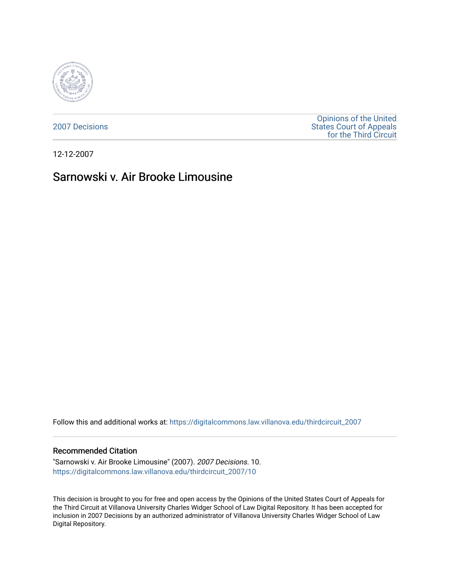

[2007 Decisions](https://digitalcommons.law.villanova.edu/thirdcircuit_2007)

[Opinions of the United](https://digitalcommons.law.villanova.edu/thirdcircuit)  [States Court of Appeals](https://digitalcommons.law.villanova.edu/thirdcircuit)  [for the Third Circuit](https://digitalcommons.law.villanova.edu/thirdcircuit) 

12-12-2007

# Sarnowski v. Air Brooke Limousine

Follow this and additional works at: [https://digitalcommons.law.villanova.edu/thirdcircuit\\_2007](https://digitalcommons.law.villanova.edu/thirdcircuit_2007?utm_source=digitalcommons.law.villanova.edu%2Fthirdcircuit_2007%2F10&utm_medium=PDF&utm_campaign=PDFCoverPages) 

#### Recommended Citation

"Sarnowski v. Air Brooke Limousine" (2007). 2007 Decisions. 10. [https://digitalcommons.law.villanova.edu/thirdcircuit\\_2007/10](https://digitalcommons.law.villanova.edu/thirdcircuit_2007/10?utm_source=digitalcommons.law.villanova.edu%2Fthirdcircuit_2007%2F10&utm_medium=PDF&utm_campaign=PDFCoverPages)

This decision is brought to you for free and open access by the Opinions of the United States Court of Appeals for the Third Circuit at Villanova University Charles Widger School of Law Digital Repository. It has been accepted for inclusion in 2007 Decisions by an authorized administrator of Villanova University Charles Widger School of Law Digital Repository.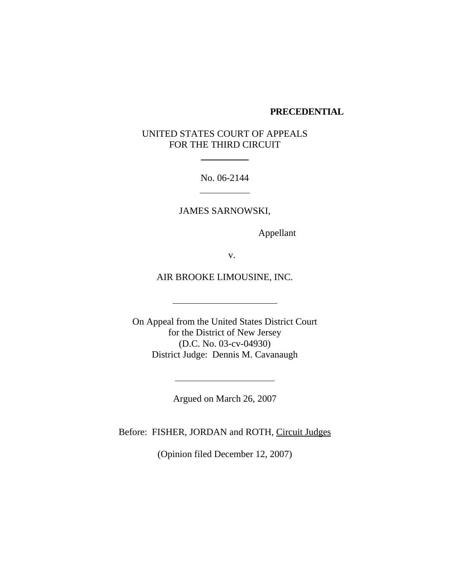#### **PRECEDENTIAL**

## UNITED STATES COURT OF APPEALS FOR THE THIRD CIRCUIT

No. 06-2144

l

 $\overline{a}$ 

 $\ddot{\phantom{a}}$ 

JAMES SARNOWSKI,

Appellant

v.

AIR BROOKE LIMOUSINE, INC.

On Appeal from the United States District Court for the District of New Jersey (D.C. No. 03-cv-04930) District Judge: Dennis M. Cavanaugh

Argued on March 26, 2007

Before: FISHER, JORDAN and ROTH, Circuit Judges

(Opinion filed December 12, 2007)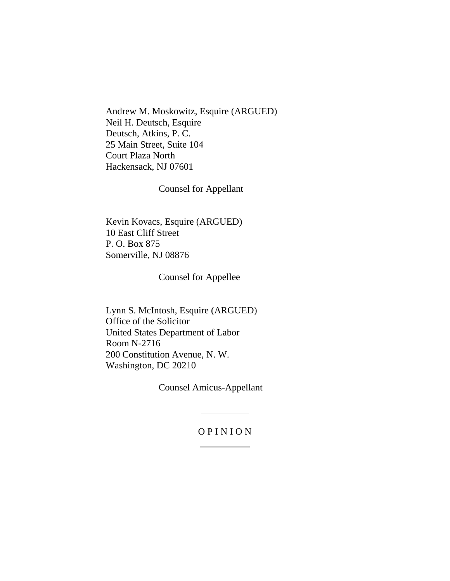Andrew M. Moskowitz, Esquire (ARGUED) Neil H. Deutsch, Esquire Deutsch, Atkins, P. C. 25 Main Street, Suite 104 Court Plaza North Hackensack, NJ 07601

Counsel for Appellant

Kevin Kovacs, Esquire (ARGUED) 10 East Cliff Street P. O. Box 875 Somerville, NJ 08876

Counsel for Appellee

Lynn S. McIntosh, Esquire (ARGUED) Office of the Solicitor United States Department of Labor Room N-2716 200 Constitution Avenue, N. W. Washington, DC 20210

Counsel Amicus-Appellant

l

#### O P I N I O N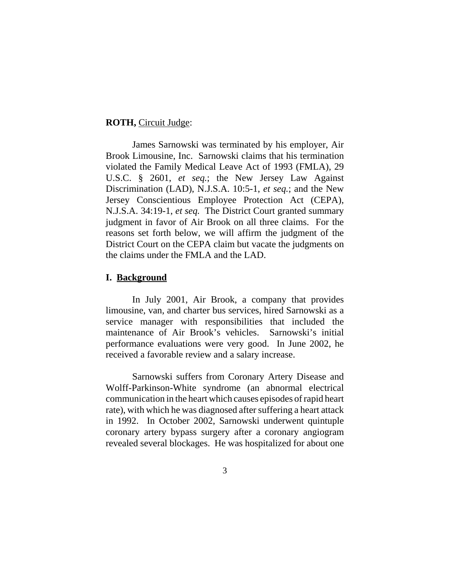#### **ROTH,** Circuit Judge:

James Sarnowski was terminated by his employer, Air Brook Limousine, Inc. Sarnowski claims that his termination violated the Family Medical Leave Act of 1993 (FMLA), 29 U.S.C. § 2601, *et seq.*; the New Jersey Law Against Discrimination (LAD), N.J.S.A. 10:5-1, *et seq.*; and the New Jersey Conscientious Employee Protection Act (CEPA), N.J.S.A. 34:19-1, *et seq.* The District Court granted summary judgment in favor of Air Brook on all three claims. For the reasons set forth below, we will affirm the judgment of the District Court on the CEPA claim but vacate the judgments on the claims under the FMLA and the LAD.

#### **I. Background**

In July 2001, Air Brook, a company that provides limousine, van, and charter bus services, hired Sarnowski as a service manager with responsibilities that included the maintenance of Air Brook's vehicles. Sarnowski's initial performance evaluations were very good. In June 2002, he received a favorable review and a salary increase.

Sarnowski suffers from Coronary Artery Disease and Wolff-Parkinson-White syndrome (an abnormal electrical communication in the heart which causes episodes of rapid heart rate), with which he was diagnosed after suffering a heart attack in 1992. In October 2002, Sarnowski underwent quintuple coronary artery bypass surgery after a coronary angiogram revealed several blockages. He was hospitalized for about one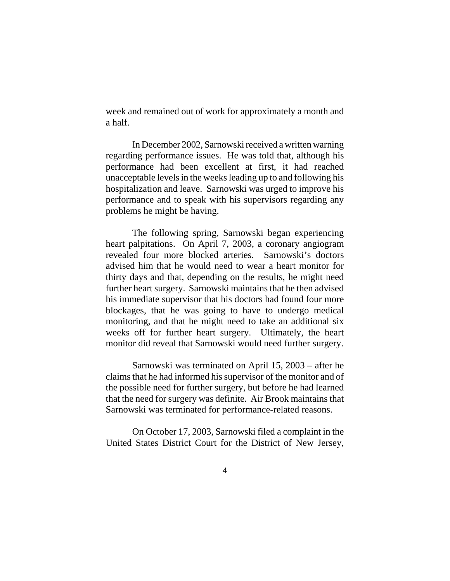week and remained out of work for approximately a month and a half.

In December 2002, Sarnowski received a written warning regarding performance issues. He was told that, although his performance had been excellent at first, it had reached unacceptable levels in the weeks leading up to and following his hospitalization and leave. Sarnowski was urged to improve his performance and to speak with his supervisors regarding any problems he might be having.

The following spring, Sarnowski began experiencing heart palpitations. On April 7, 2003, a coronary angiogram revealed four more blocked arteries. Sarnowski's doctors advised him that he would need to wear a heart monitor for thirty days and that, depending on the results, he might need further heart surgery. Sarnowski maintains that he then advised his immediate supervisor that his doctors had found four more blockages, that he was going to have to undergo medical monitoring, and that he might need to take an additional six weeks off for further heart surgery. Ultimately, the heart monitor did reveal that Sarnowski would need further surgery.

Sarnowski was terminated on April 15, 2003 – after he claims that he had informed his supervisor of the monitor and of the possible need for further surgery, but before he had learned that the need for surgery was definite. Air Brook maintains that Sarnowski was terminated for performance-related reasons.

On October 17, 2003, Sarnowski filed a complaint in the United States District Court for the District of New Jersey,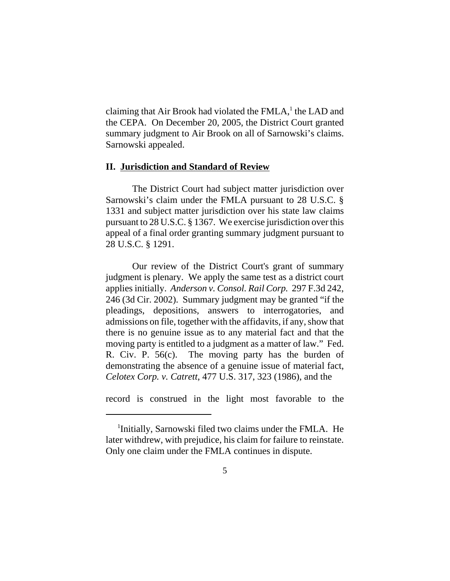claiming that Air Brook had violated the FMLA,<sup>1</sup> the LAD and the CEPA. On December 20, 2005, the District Court granted summary judgment to Air Brook on all of Sarnowski's claims. Sarnowski appealed.

#### **II. Jurisdiction and Standard of Review**

The District Court had subject matter jurisdiction over Sarnowski's claim under the FMLA pursuant to 28 U.S.C. § 1331 and subject matter jurisdiction over his state law claims pursuant to 28 U.S.C. § 1367. We exercise jurisdiction over this appeal of a final order granting summary judgment pursuant to 28 U.S.C. § 1291.

Our review of the District Court's grant of summary judgment is plenary. We apply the same test as a district court applies initially. *Anderson v. Consol. Rail Corp.* 297 F.3d 242, 246 (3d Cir. 2002). Summary judgment may be granted "if the pleadings, depositions, answers to interrogatories, and admissions on file, together with the affidavits, if any, show that there is no genuine issue as to any material fact and that the moving party is entitled to a judgment as a matter of law." Fed. R. Civ. P. 56(c). The moving party has the burden of demonstrating the absence of a genuine issue of material fact, *Celotex Corp. v. Catrett*, 477 U.S. 317, 323 (1986), and the

record is construed in the light most favorable to the

<sup>&</sup>lt;sup>1</sup>Initially, Sarnowski filed two claims under the FMLA. He later withdrew, with prejudice, his claim for failure to reinstate. Only one claim under the FMLA continues in dispute.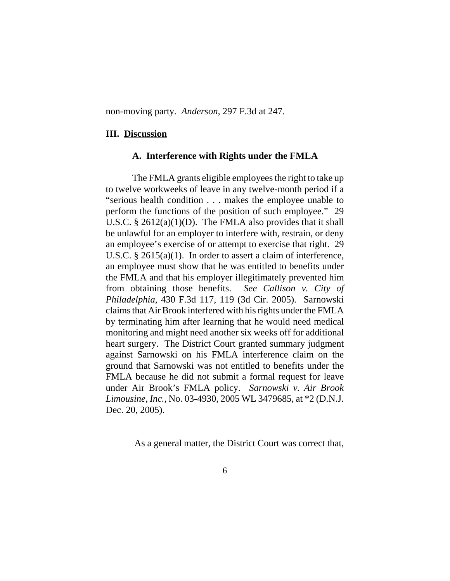non-moving party. *Anderson*, 297 F.3d at 247.

#### **III. Discussion**

#### **A. Interference with Rights under the FMLA**

The FMLA grants eligible employees the right to take up to twelve workweeks of leave in any twelve-month period if a "serious health condition . . . makes the employee unable to perform the functions of the position of such employee." 29 U.S.C.  $\S 2612(a)(1)(D)$ . The FMLA also provides that it shall be unlawful for an employer to interfere with, restrain, or deny an employee's exercise of or attempt to exercise that right. 29 U.S.C. § 2615(a)(1). In order to assert a claim of interference, an employee must show that he was entitled to benefits under the FMLA and that his employer illegitimately prevented him from obtaining those benefits. *See Callison v. City of Philadelphia*, 430 F.3d 117, 119 (3d Cir. 2005). Sarnowski claims that Air Brook interfered with his rights under the FMLA by terminating him after learning that he would need medical monitoring and might need another six weeks off for additional heart surgery. The District Court granted summary judgment against Sarnowski on his FMLA interference claim on the ground that Sarnowski was not entitled to benefits under the FMLA because he did not submit a formal request for leave under Air Brook's FMLA policy. *Sarnowski v. Air Brook Limousine, Inc.*, No. 03-4930, 2005 WL 3479685, at \*2 (D.N.J. Dec. 20, 2005).

As a general matter, the District Court was correct that,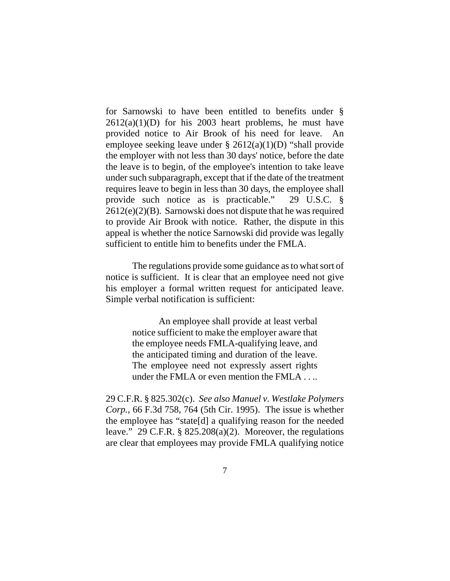for Sarnowski to have been entitled to benefits under §  $2612(a)(1)(D)$  for his 2003 heart problems, he must have provided notice to Air Brook of his need for leave. An employee seeking leave under  $\S 2612(a)(1)(D)$  "shall provide the employer with not less than 30 days' notice, before the date the leave is to begin, of the employee's intention to take leave under such subparagraph, except that if the date of the treatment requires leave to begin in less than 30 days, the employee shall provide such notice as is practicable." 29 U.S.C. § 2612(e)(2)(B). Sarnowski does not dispute that he was required to provide Air Brook with notice. Rather, the dispute in this appeal is whether the notice Sarnowski did provide was legally sufficient to entitle him to benefits under the FMLA.

The regulations provide some guidance as to what sort of notice is sufficient. It is clear that an employee need not give his employer a formal written request for anticipated leave. Simple verbal notification is sufficient:

> An employee shall provide at least verbal notice sufficient to make the employer aware that the employee needs FMLA-qualifying leave, and the anticipated timing and duration of the leave. The employee need not expressly assert rights under the FMLA or even mention the FMLA . . ..

29 C.F.R. § 825.302(c). *See also Manuel v. Westlake Polymers Corp.*, 66 F.3d 758, 764 (5th Cir. 1995). The issue is whether the employee has "state[d] a qualifying reason for the needed leave." 29 C.F.R. §  $825.208(a)(2)$ . Moreover, the regulations are clear that employees may provide FMLA qualifying notice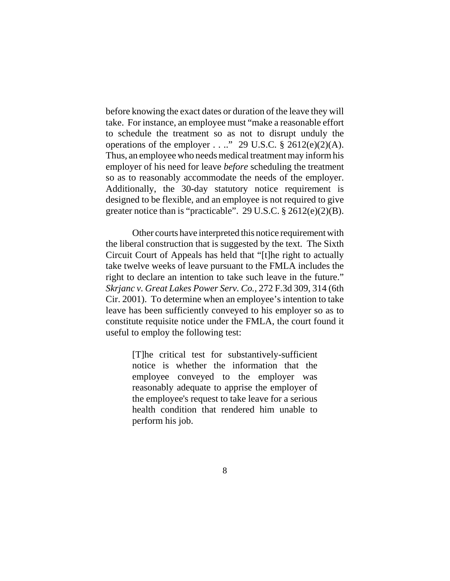before knowing the exact dates or duration of the leave they will take. For instance, an employee must "make a reasonable effort to schedule the treatment so as not to disrupt unduly the operations of the employer . . .." 29 U.S.C.  $\S$  2612(e)(2)(A). Thus, an employee who needs medical treatment may inform his employer of his need for leave *before* scheduling the treatment so as to reasonably accommodate the needs of the employer. Additionally, the 30-day statutory notice requirement is designed to be flexible, and an employee is not required to give greater notice than is "practicable". 29 U.S.C. § 2612(e)(2)(B).

Other courts have interpreted this notice requirement with the liberal construction that is suggested by the text. The Sixth Circuit Court of Appeals has held that "[t]he right to actually take twelve weeks of leave pursuant to the FMLA includes the right to declare an intention to take such leave in the future." *Skrjanc v. Great Lakes Power Serv. Co.*, 272 F.3d 309, 314 (6th Cir. 2001). To determine when an employee's intention to take leave has been sufficiently conveyed to his employer so as to constitute requisite notice under the FMLA, the court found it useful to employ the following test:

> [T]he critical test for substantively-sufficient notice is whether the information that the employee conveyed to the employer was reasonably adequate to apprise the employer of the employee's request to take leave for a serious health condition that rendered him unable to perform his job.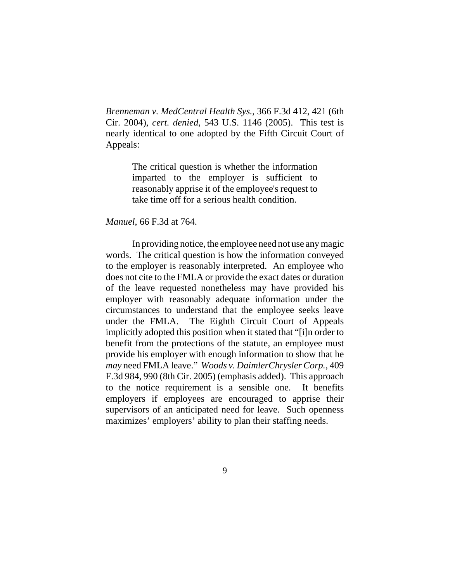*Brenneman v. MedCentral Health Sys.*, 366 F.3d 412, 421 (6th Cir. 2004), *cert. denied*, 543 U.S. 1146 (2005). This test is nearly identical to one adopted by the Fifth Circuit Court of Appeals:

> The critical question is whether the information imparted to the employer is sufficient to reasonably apprise it of the employee's request to take time off for a serious health condition.

#### *Manuel*, 66 F.3d at 764.

In providing notice, the employee need not use any magic words. The critical question is how the information conveyed to the employer is reasonably interpreted. An employee who does not cite to the FMLA or provide the exact dates or duration of the leave requested nonetheless may have provided his employer with reasonably adequate information under the circumstances to understand that the employee seeks leave under the FMLA. The Eighth Circuit Court of Appeals implicitly adopted this position when it stated that "[i]n order to benefit from the protections of the statute, an employee must provide his employer with enough information to show that he *may* need FMLA leave." *Woods v. DaimlerChrysler Corp.*, 409 F.3d 984, 990 (8th Cir. 2005) (emphasis added). This approach to the notice requirement is a sensible one. It benefits employers if employees are encouraged to apprise their supervisors of an anticipated need for leave. Such openness maximizes' employers' ability to plan their staffing needs.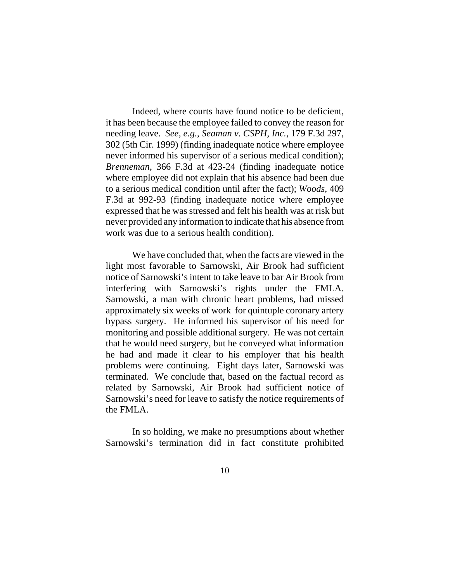Indeed, where courts have found notice to be deficient, it has been because the employee failed to convey the reason for needing leave. *See, e.g.*, *Seaman v. CSPH, Inc.*, 179 F.3d 297, 302 (5th Cir. 1999) (finding inadequate notice where employee never informed his supervisor of a serious medical condition); *Brenneman*, 366 F.3d at 423-24 (finding inadequate notice where employee did not explain that his absence had been due to a serious medical condition until after the fact); *Woods*, 409 F.3d at 992-93 (finding inadequate notice where employee expressed that he was stressed and felt his health was at risk but never provided any information to indicate that his absence from work was due to a serious health condition).

We have concluded that, when the facts are viewed in the light most favorable to Sarnowski, Air Brook had sufficient notice of Sarnowski's intent to take leave to bar Air Brook from interfering with Sarnowski's rights under the FMLA. Sarnowski, a man with chronic heart problems, had missed approximately six weeks of work for quintuple coronary artery bypass surgery. He informed his supervisor of his need for monitoring and possible additional surgery. He was not certain that he would need surgery, but he conveyed what information he had and made it clear to his employer that his health problems were continuing. Eight days later, Sarnowski was terminated. We conclude that, based on the factual record as related by Sarnowski, Air Brook had sufficient notice of Sarnowski's need for leave to satisfy the notice requirements of the FMLA.

In so holding, we make no presumptions about whether Sarnowski's termination did in fact constitute prohibited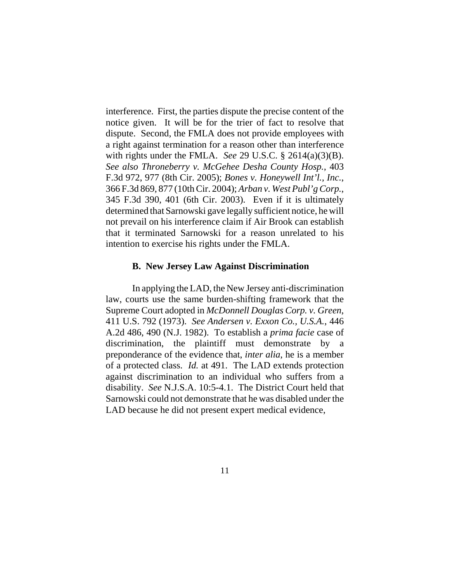interference. First, the parties dispute the precise content of the notice given. It will be for the trier of fact to resolve that dispute. Second, the FMLA does not provide employees with a right against termination for a reason other than interference with rights under the FMLA. *See* 29 U.S.C. § 2614(a)(3)(B). *See also Throneberry v. McGehee Desha County Hosp.*, 403 F.3d 972, 977 (8th Cir. 2005); *Bones v. Honeywell Int'l., Inc.*, 366 F.3d 869, 877 (10th Cir. 2004); *Arban v. West Publ'g Corp.*, 345 F.3d 390, 401 (6th Cir. 2003). Even if it is ultimately determined that Sarnowski gave legally sufficient notice, he will not prevail on his interference claim if Air Brook can establish that it terminated Sarnowski for a reason unrelated to his intention to exercise his rights under the FMLA.

#### **B. New Jersey Law Against Discrimination**

In applying the LAD, the New Jersey anti-discrimination law, courts use the same burden-shifting framework that the Supreme Court adopted in *McDonnell Douglas Corp. v. Green*, 411 U.S. 792 (1973). *See Andersen v. Exxon Co., U.S.A.*, 446 A.2d 486, 490 (N.J. 1982). To establish a *prima facie* case of discrimination, the plaintiff must demonstrate by a preponderance of the evidence that, *inter alia*, he is a member of a protected class. *Id.* at 491. The LAD extends protection against discrimination to an individual who suffers from a disability. *See* N.J.S.A. 10:5-4.1. The District Court held that Sarnowski could not demonstrate that he was disabled under the LAD because he did not present expert medical evidence,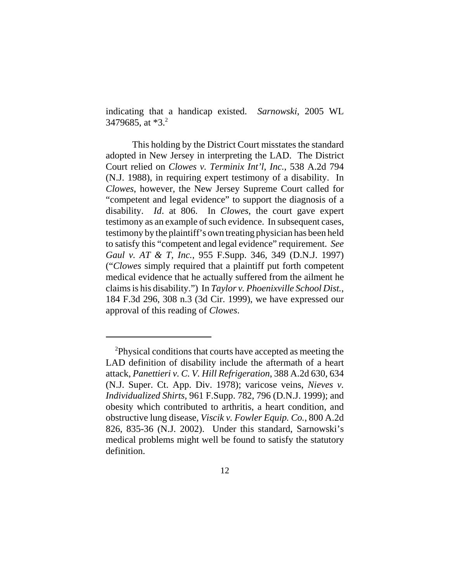indicating that a handicap existed. *Sarnowski*, 2005 WL 3479685, at \*3.<sup>2</sup>

This holding by the District Court misstates the standard adopted in New Jersey in interpreting the LAD. The District Court relied on *Clowes v. Terminix Int'l, Inc.*, 538 A.2d 794 (N.J. 1988), in requiring expert testimony of a disability. In *Clowes*, however, the New Jersey Supreme Court called for "competent and legal evidence" to support the diagnosis of a disability. *Id*. at 806. In *Clowes*, the court gave expert testimony as an example of such evidence. In subsequent cases, testimony by the plaintiff's own treating physician has been held to satisfy this "competent and legal evidence" requirement. *See Gaul v. AT & T, Inc.*, 955 F.Supp. 346, 349 (D.N.J. 1997) ("*Clowes* simply required that a plaintiff put forth competent medical evidence that he actually suffered from the ailment he claims is his disability.") In *Taylor v. Phoenixville School Dist.*, 184 F.3d 296, 308 n.3 (3d Cir. 1999), we have expressed our approval of this reading of *Clowes*.

<sup>&</sup>lt;sup>2</sup>Physical conditions that courts have accepted as meeting the LAD definition of disability include the aftermath of a heart attack, *Panettieri v. C. V. Hill Refrigeration*, 388 A.2d 630, 634 (N.J. Super. Ct. App. Div. 1978); varicose veins, *Nieves v. Individualized Shirts*, 961 F.Supp. 782, 796 (D.N.J. 1999); and obesity which contributed to arthritis, a heart condition, and obstructive lung disease, *Viscik v. Fowler Equip. Co.*, 800 A.2d 826, 835-36 (N.J. 2002). Under this standard, Sarnowski's medical problems might well be found to satisfy the statutory definition.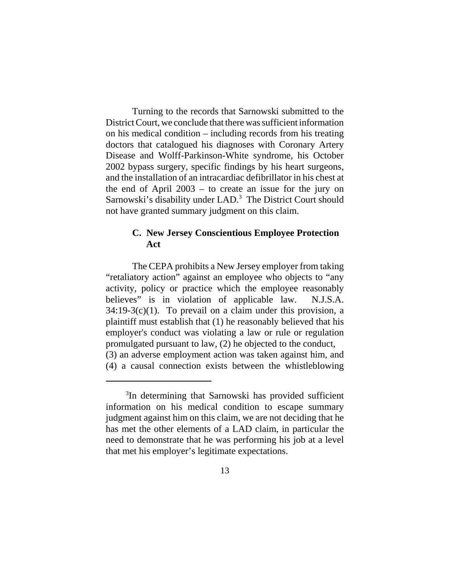Turning to the records that Sarnowski submitted to the District Court, we conclude that there was sufficient information on his medical condition – including records from his treating doctors that catalogued his diagnoses with Coronary Artery Disease and Wolff-Parkinson-White syndrome, his October 2002 bypass surgery, specific findings by his heart surgeons, and the installation of an intracardiac defibrillator in his chest at the end of April 2003 – to create an issue for the jury on Sarnowski's disability under LAD.<sup>3</sup> The District Court should not have granted summary judgment on this claim.

### **C. New Jersey Conscientious Employee Protection Act**

The CEPA prohibits a New Jersey employer from taking "retaliatory action" against an employee who objects to "any activity, policy or practice which the employee reasonably believes" is in violation of applicable law. N.J.S.A.  $34:19-3(c)(1)$ . To prevail on a claim under this provision, a plaintiff must establish that (1) he reasonably believed that his employer's conduct was violating a law or rule or regulation promulgated pursuant to law, (2) he objected to the conduct, (3) an adverse employment action was taken against him, and (4) a causal connection exists between the whistleblowing

<sup>&</sup>lt;sup>3</sup>In determining that Sarnowski has provided sufficient information on his medical condition to escape summary judgment against him on this claim, we are not deciding that he has met the other elements of a LAD claim, in particular the need to demonstrate that he was performing his job at a level that met his employer's legitimate expectations.